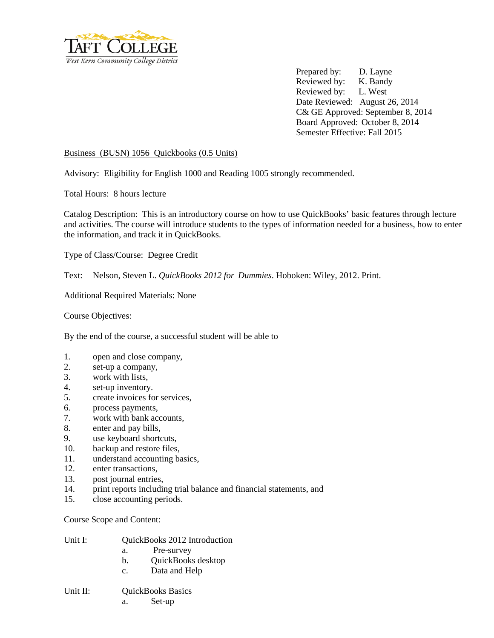

Prepared by: D. Layne Reviewed by: K. Bandy Reviewed by: L. West Date Reviewed: August 26, 2014 C& GE Approved: September 8, 2014 Board Approved: October 8, 2014 Semester Effective: Fall 2015

## Business (BUSN) 1056 Quickbooks (0.5 Units)

Advisory: Eligibility for English 1000 and Reading 1005 strongly recommended.

Total Hours: 8 hours lecture

Catalog Description: This is an introductory course on how to use QuickBooks' basic features through lecture and activities. The course will introduce students to the types of information needed for a business, how to enter the information, and track it in QuickBooks.

Type of Class/Course: Degree Credit

Text: Nelson, Steven L. *QuickBooks 2012 for Dummies*. Hoboken: Wiley, 2012. Print.

Additional Required Materials: None

Course Objectives:

By the end of the course, a successful student will be able to

- 1. open and close company,
- 2. set-up a company,
- 3. work with lists,
- 4. set-up inventory.
- 5. create invoices for services,
- 6. process payments,
- 7. work with bank accounts,
- 8. enter and pay bills,
- 9. use keyboard shortcuts,
- 10. backup and restore files,
- 11. understand accounting basics,
- 12. enter transactions,
- 13. post journal entries,
- 14. print reports including trial balance and financial statements, and
- 15. close accounting periods.

Course Scope and Content:

| Unit I:  | <b>OuickBooks 2012 Introduction</b> |                    |  |
|----------|-------------------------------------|--------------------|--|
|          | Pre-survey<br>a.                    |                    |  |
|          | b.                                  | QuickBooks desktop |  |
|          | Data and Help<br>$\mathbf{c}$ .     |                    |  |
| Unit II: | <b>QuickBooks Basics</b>            |                    |  |

a. Set-up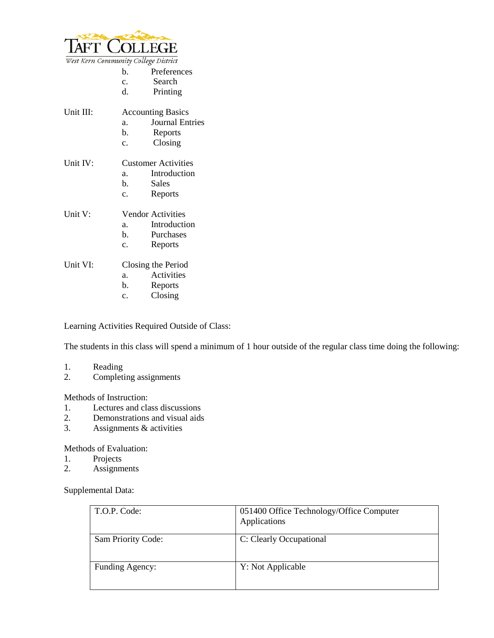

|  | West Kern Community College District |  |  |
|--|--------------------------------------|--|--|
|--|--------------------------------------|--|--|

- b. Preferences
- c. Search
- d. Printing

| Unit III: |                     | <b>Accounting Basics</b> |
|-----------|---------------------|--------------------------|
|           | а.                  | <b>Journal Entries</b>   |
|           | b.                  | Reports                  |
|           | $\mathbf{c}$ .      | Closing                  |
| Unit IV:  | Customer Activities |                          |
|           | a.                  | Introduction             |
|           | b.                  | Sales                    |
|           | $\mathbf{c}$ .      | Reports                  |
| Unit V:   |                     | <b>Vendor Activities</b> |
|           | a.                  | Introduction             |
|           | b.                  | Purchases                |
|           | $\mathbf{c}$ .      | Reports                  |
| Unit VI:  |                     | Closing the Period       |
|           | a.                  | Activities               |
|           | b.                  | Reports                  |
|           | c.                  | Closing                  |

Learning Activities Required Outside of Class:

The students in this class will spend a minimum of 1 hour outside of the regular class time doing the following:

## 1. Reading<br>2. Completi

Completing assignments

## Methods of Instruction:

- 1. Lectures and class discussions
- 2. Demonstrations and visual aids
- 3. Assignments & activities

## Methods of Evaluation:

- 1. Projects
- 2. Assignments

Supplemental Data:

| T.O.P. Code:       | 051400 Office Technology/Office Computer<br>Applications |
|--------------------|----------------------------------------------------------|
| Sam Priority Code: | C: Clearly Occupational                                  |
| Funding Agency:    | Y: Not Applicable                                        |